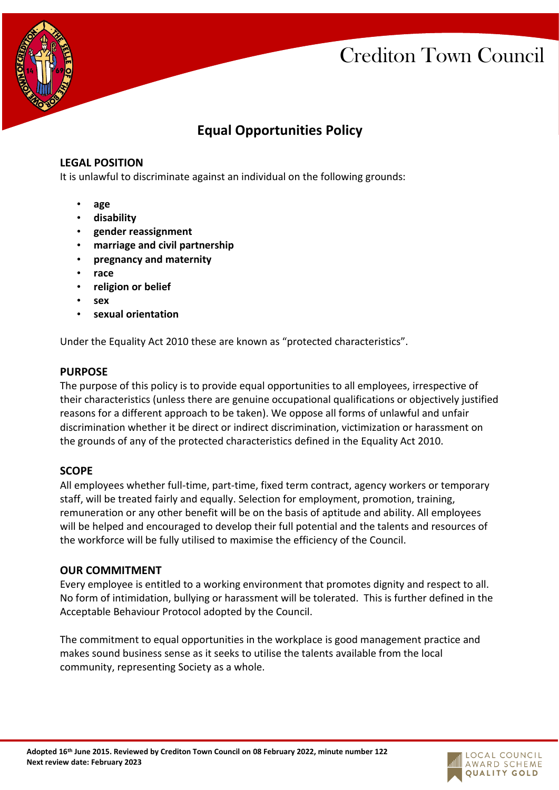# Crediton Town Council



### **Equal Opportunities Policy**

#### **LEGAL POSITION**

It is unlawful to discriminate against an individual on the following grounds:

- **age**
- **disability**
- **gender reassignment**
- **marriage and civil partnership**
- **pregnancy and maternity**
- **race**
- **religion or belief**
- **sex**
- **sexual orientation**

Under the Equality Act 2010 these are known as "protected characteristics".

#### **PURPOSE**

The purpose of this policy is to provide equal opportunities to all employees, irrespective of their characteristics (unless there are genuine occupational qualifications or objectively justified reasons for a different approach to be taken). We oppose all forms of unlawful and unfair discrimination whether it be direct or indirect discrimination, victimization or harassment on the grounds of any of the protected characteristics defined in the Equality Act 2010.

### **SCOPE**

All employees whether full-time, part-time, fixed term contract, agency workers or temporary staff, will be treated fairly and equally. Selection for employment, promotion, training, remuneration or any other benefit will be on the basis of aptitude and ability. All employees will be helped and encouraged to develop their full potential and the talents and resources of the workforce will be fully utilised to maximise the efficiency of the Council.

#### **OUR COMMITMENT**

Every employee is entitled to a working environment that promotes dignity and respect to all. No form of intimidation, bullying or harassment will be tolerated. This is further defined in the Acceptable Behaviour Protocol adopted by the Council.

The commitment to equal opportunities in the workplace is good management practice and makes sound business sense as it seeks to utilise the talents available from the local community, representing Society as a whole.